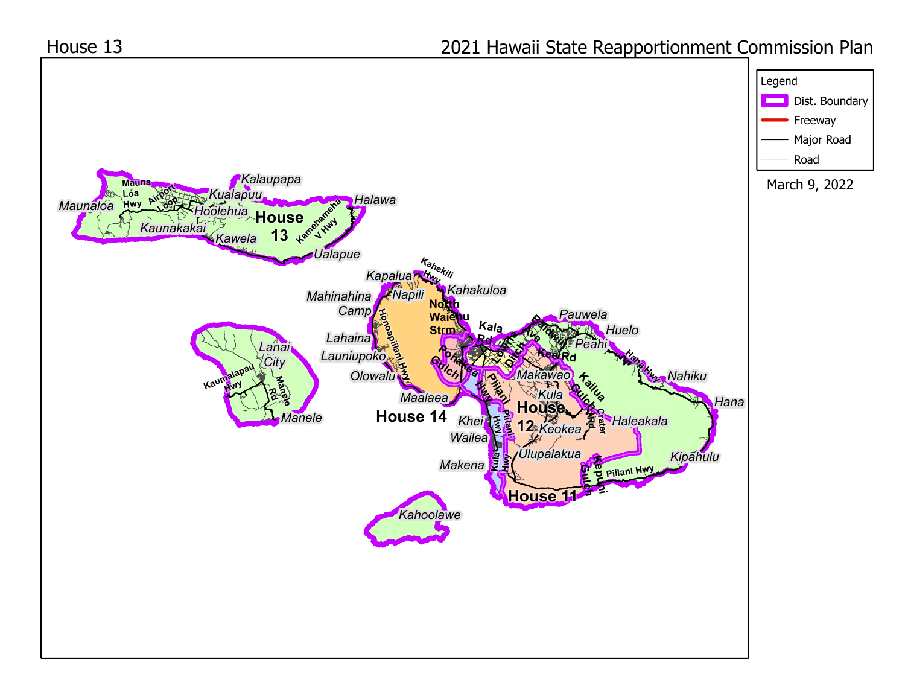

## 2021 Hawaii State Reapportionment Commission Plan